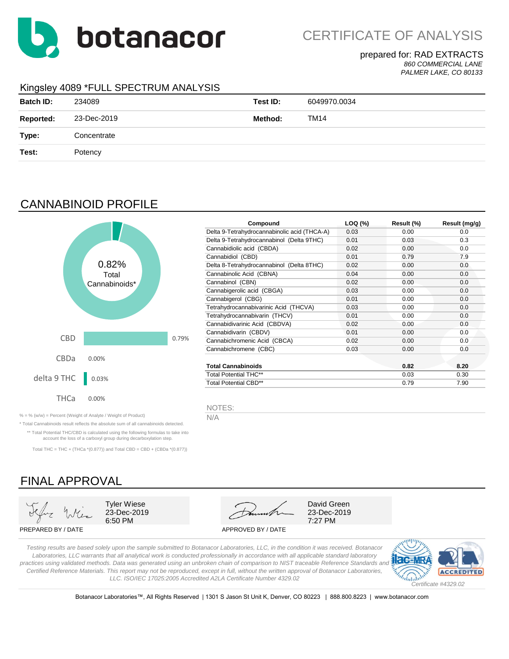

CERTIFICATE OF ANALYSIS

### prepared for: RAD EXTRACTS

*860 COMMERCIAL LANE PALMER LAKE, CO 80133*

### Kingsley 4089 \*FULL SPECTRUM ANALYSIS

| <b>Batch ID:</b> | 234089      | Test ID: | 6049970.0034 |
|------------------|-------------|----------|--------------|
| <b>Reported:</b> | 23-Dec-2019 | Method:  | <b>TM14</b>  |
| Type:            | Concentrate |          |              |
| Test:            | Potency     |          |              |
|                  |             |          |              |

## CANNABINOID PROFILE



| Compound                                     | LOQ (%) | Result (%) | Result (mg/g) |
|----------------------------------------------|---------|------------|---------------|
| Delta 9-Tetrahydrocannabinolic acid (THCA-A) | 0.03    | 0.00       | 0.0           |
| Delta 9-Tetrahydrocannabinol (Delta 9THC)    | 0.01    | 0.03       | 0.3           |
| Cannabidiolic acid (CBDA)                    | 0.02    | 0.00       | 0.0           |
| Cannabidiol (CBD)                            | 0.01    | 0.79       | 7.9           |
| Delta 8-Tetrahydrocannabinol (Delta 8THC)    | 0.02    | 0.00       | 0.0           |
| Cannabinolic Acid (CBNA)                     | 0.04    | 0.00       | 0.0           |
| Cannabinol (CBN)                             | 0.02    | 0.00       | 0.0           |
| Cannabigerolic acid (CBGA)                   | 0.03    | 0.00       | 0.0           |
| Cannabigerol (CBG)                           | 0.01    | 0.00       | 0.0           |
| Tetrahydrocannabivarinic Acid (THCVA)        | 0.03    | 0.00       | 0.0           |
| Tetrahydrocannabivarin (THCV)                | 0.01    | 0.00       | 0.0           |
| Cannabidivarinic Acid (CBDVA)                | 0.02    | 0.00       | 0.0           |
| Cannabidivarin (CBDV)                        | 0.01    | 0.00       | 0.0           |
| Cannabichromenic Acid (CBCA)                 | 0.02    | 0.00       | 0.0           |
| Cannabichromene (CBC)                        | 0.03    | 0.00       | 0.0           |
|                                              |         |            |               |
| <b>Total Cannabinoids</b>                    |         | 0.82       | 8.20          |
| <b>Total Potential THC**</b>                 |         | 0.03       | 0.30          |
| Total Potential CBD**                        |         | 0.79       | 7.90          |

NOTES:

% = % (w/w) = Percent (Weight of Analyte / Weight of Product)  $\overline{N/A}$ 

\* Total Cannabinoids result reflects the absolute sum of all cannabinoids detected. \*\* Total Potential THC/CBD is calculated using the following formulas to take into account the loss of a carboxyl group during decarboxylation step.

Total THC = THC + (THCa  $*(0.877)$ ) and Total CBD = CBD + (CBDa  $*(0.877)$ )

# FINAL APPROVAL





6:50 PM 7:27 PM

PREPARED BY / DATE APPROVED BY / DATE

*Testing results are based solely upon the sample submitted to Botanacor Laboratories, LLC, in the condition it was received. Botanacor Laboratories, LLC warrants that all analytical work is conducted professionally in accordance with all applicable standard laboratory practices using validated methods. Data was generated using an unbroken chain of comparison to NIST traceable Reference Standards and Certified Reference Materials. This report may not be reproduced, except in full, without the written approval of Botanacor Laboratories, LLC. ISO/IEC 17025:2005 Accredited A2LA Certificate Number 4329.02*



Botanacor Laboratories™, All Rights Reserved | 1301 S Jason St Unit K, Denver, CO 80223 | 888.800.8223 | www.botanacor.com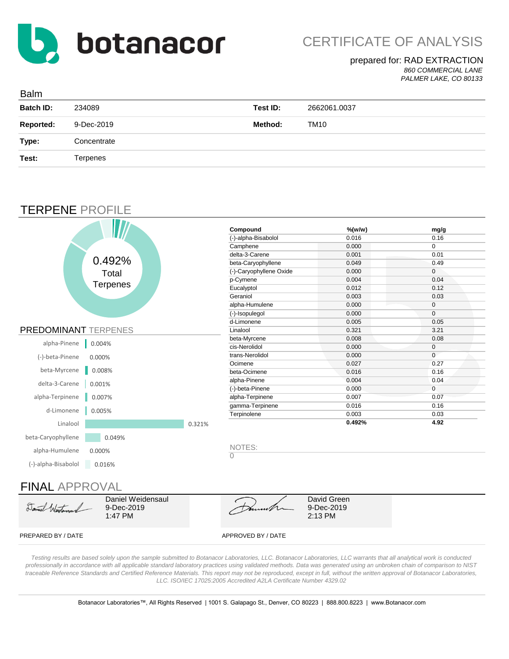

### prepared for: RAD EXTRACTION *860 COMMERCIAL LANE*

*PALMER LAKE, CO 80133*

| <b>Balm</b>      |             |          |              |
|------------------|-------------|----------|--------------|
| <b>Batch ID:</b> | 234089      | Test ID: | 2662061.0037 |
| <b>Reported:</b> | 9-Dec-2019  | Method:  | TM10         |
| Type:            | Concentrate |          |              |
| Test:            | Terpenes    |          |              |
|                  |             |          |              |

## TERPENE PROFILE

|                                            |        | Compound                 | $%$ (w/w)             | mg/g         |
|--------------------------------------------|--------|--------------------------|-----------------------|--------------|
|                                            |        | (-)-alpha-Bisabolol      | 0.016                 | 0.16         |
|                                            |        | Camphene                 | 0.000                 | $\mathbf 0$  |
|                                            |        | delta-3-Carene           | 0.001                 | 0.01         |
| 0.492%                                     |        | beta-Caryophyllene       | 0.049                 | 0.49         |
| Total                                      |        | (-)-Caryophyllene Oxide  | 0.000                 | $\mathbf 0$  |
| <b>Terpenes</b>                            |        | p-Cymene                 | 0.004                 | 0.04         |
|                                            |        | Eucalyptol               | 0.012                 | 0.12         |
|                                            |        | Geraniol                 | 0.003                 | 0.03         |
|                                            |        | alpha-Humulene           | 0.000                 | $\mathbf 0$  |
|                                            |        | (-)-Isopulegol           | 0.000                 | $\mathbf{0}$ |
|                                            |        | d-Limonene               | 0.005                 | 0.05         |
| <b>PREDOMINANT TERPENES</b>                |        | Linalool                 | 0.321                 | 3.21         |
| alpha-Pinene<br>0.004%                     |        | beta-Myrcene             | 0.008                 | 0.08         |
|                                            |        | cis-Nerolidol            | 0.000                 | $\mathbf 0$  |
| (-)-beta-Pinene<br>0.000%                  |        | trans-Nerolidol          | 0.000                 | $\mathbf 0$  |
|                                            |        | Ocimene                  | 0.027                 | 0.27         |
| beta-Myrcene<br>0.008%                     |        | beta-Ocimene             | 0.016                 | 0.16         |
| delta-3-Carene<br>0.001%                   |        | alpha-Pinene             | 0.004                 | 0.04         |
|                                            |        | (-)-beta-Pinene          | 0.000                 | $\mathbf{0}$ |
| alpha-Terpinene<br>0.007%                  |        | alpha-Terpinene          | 0.007                 | 0.07         |
| d-Limonene<br>0.005%                       |        | gamma-Terpinene          | 0.016                 | 0.16         |
|                                            |        | Terpinolene              | 0.003                 | 0.03         |
| Linalool                                   | 0.321% |                          | 0.492%                | 4.92         |
| beta-Caryophyllene<br>0.049%               |        |                          |                       |              |
| alpha-Humulene<br>0.000%                   |        | NOTES:<br>$\overline{0}$ |                       |              |
| (-)-alpha-Bisabolol<br>0.016%              |        |                          |                       |              |
|                                            |        |                          |                       |              |
| <b>FINAL APPROVAL</b>                      |        |                          |                       |              |
| Daniel Weidensaul                          |        |                          | David Green           |              |
| Daniel Wartenauel<br>9-Dec-2019<br>1:47 PM |        |                          | 9-Dec-2019<br>2:13 PM |              |
| PREPARED BY / DATE                         |        | APPROVED BY / DATE       |                       |              |

*Testing results are based solely upon the sample submitted to Botanacor Laboratories, LLC. Botanacor Laboratories, LLC warrants that all analytical work is cond professionally in accordance with all applicable standard laboratory practices using validated methods. Data was generated using an unbroken chain of comparison to NIST*  traceable Reference Standards and Certified Reference Materials. This report may not be reproduced, except in full, without the written approval of Botanacor Laboratories, *LLC. ISO/IEC 17025:2005 Accredited A2LA Certificate Number 4329.02*

Botanacor Laboratories™, All Rights Reserved | 1001 S. Galapago St., Denver, CO 80223 | 888.800.8223 | www.Botanacor.com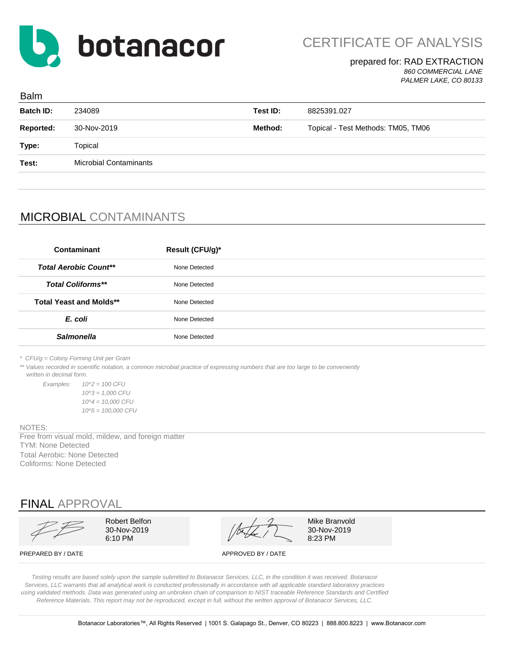

### prepared for: RAD EXTRACTION *860 COMMERCIAL LANE PALMER LAKE, CO 80133*

| <b>Balm</b>      |                               |          |                                    |  |
|------------------|-------------------------------|----------|------------------------------------|--|
| <b>Batch ID:</b> | 234089                        | Test ID: | 8825391.027                        |  |
| <b>Reported:</b> | 30-Nov-2019                   | Method:  | Topical - Test Methods: TM05, TM06 |  |
| Type:            | Topical                       |          |                                    |  |
| Test:            | <b>Microbial Contaminants</b> |          |                                    |  |
|                  |                               |          |                                    |  |

# MICROBIAL CONTAMINANTS

| Contaminant                    | <b>Result (CFU/g)*</b> |  |
|--------------------------------|------------------------|--|
| <b>Total Aerobic Count**</b>   | None Detected          |  |
| <b>Total Coliforms**</b>       | None Detected          |  |
| <b>Total Yeast and Molds**</b> | None Detected          |  |
| E. coli                        | None Detected          |  |
| <b>Salmonella</b>              | None Detected          |  |

*\* CFU/g = Colony Forming Unit per Gram*

\*\* Values recorded in scientific notation, a common microbial practice of expressing numbers that are too large to be conveniently

 *written in decimal form.*

*Examples: 10^2 = 100 CFU 10^3 = 1,000 CFU 10^4 = 10,000 CFU 10^5 = 100,000 CFU*

#### NOTES:

TYM: None Detected Total Aerobic: None Detected Coliforms: None Detected Free from visual mold, mildew, and foreign matter

FINAL APPROVAL



Robert Belfon  $\mathcal{A}$   $\mathcal{A}$  Mike Branvold  $\sqrt{27}$  30-Nov-2019 6:10 PM  $\begin{array}{|c|c|c|c|c|}\hline \end{array}$  8:23 PM

PREPARED BY / DATE APPROVED BY / DATE

*Testing results are based solely upon the sample submitted to Botanacor Services, LLC, in the condition it was received. Botanacor Services, LLC warrants that all analytical work is conducted professionally in accordance with all applicable standard laboratory practices using validated methods. Data was generated using an unbroken chain of comparison to NIST traceable Reference Standards and Certified Reference Materials. This report may not be reproduced, except in full, without the written approval of Botanacor Services, LLC.*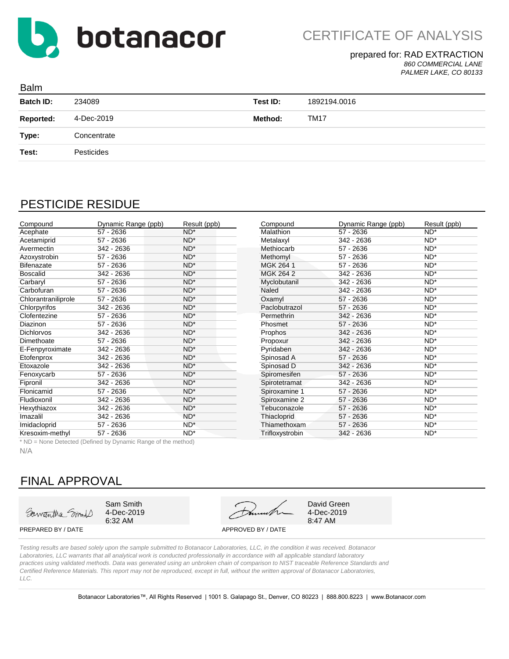

### prepared for: RAD EXTRACTION

*860 COMMERCIAL LANE PALMER LAKE, CO 80133*

| <b>Balm</b>      |             |          |              |
|------------------|-------------|----------|--------------|
| <b>Batch ID:</b> | 234089      | Test ID: | 1892194.0016 |
| <b>Reported:</b> | 4-Dec-2019  | Method:  | <b>TM17</b>  |
| Type:            | Concentrate |          |              |
| Test:            | Pesticides  |          |              |
|                  |             |          |              |

## PESTICIDE RESIDUE

| Compound            | Dynamic Range (ppb) | Result (ppb)    | Compound        | Dynamic Range (ppb) | Result (ppb) |
|---------------------|---------------------|-----------------|-----------------|---------------------|--------------|
| Acephate            | $57 - 2636$         | $ND^*$          | Malathion       | $57 - 2636$         | $ND^*$       |
| Acetamiprid         | 57 - 2636           | $ND^*$          | Metalaxyl       | 342 - 2636          | $ND^*$       |
| Avermectin          | 342 - 2636          | $ND^*$          | Methiocarb      | $57 - 2636$         | $ND^*$       |
| Azoxystrobin        | 57 - 2636           | $ND^*$          | Methomyl        | $57 - 2636$         | $ND^*$       |
| <b>Bifenazate</b>   | 57 - 2636           | $ND^*$          | MGK 264 1       | $57 - 2636$         | $ND^*$       |
| <b>Boscalid</b>     | 342 - 2636          | $ND^*$          | MGK 264 2       | 342 - 2636          | $ND^*$       |
| Carbaryl            | 57 - 2636           | $ND^*$          | Myclobutanil    | 342 - 2636          | $ND^*$       |
| Carbofuran          | 57 - 2636           | $ND^*$          | Naled           | 342 - 2636          | $ND^*$       |
| Chlorantraniliprole | $57 - 2636$         | $ND^*$          | Oxamyl          | $57 - 2636$         | $ND^*$       |
| Chlorpyrifos        | 342 - 2636          | $ND^*$          | Paclobutrazol   | $57 - 2636$         | $ND^*$       |
| Clofentezine        | $57 - 2636$         | $ND^*$          | Permethrin      | 342 - 2636          | $ND^*$       |
| Diazinon            | 57 - 2636           | $ND^*$          | Phosmet         | $57 - 2636$         | $ND^*$       |
| <b>Dichlorvos</b>   | 342 - 2636          | ND <sup>*</sup> | Prophos         | 342 - 2636          | $ND^*$       |
| Dimethoate          | 57 - 2636           | $ND^*$          | Propoxur        | $342 - 2636$        | $ND^*$       |
| E-Fenpyroximate     | 342 - 2636          | $ND^*$          | Pyridaben       | 342 - 2636          | $ND^*$       |
| Etofenprox          | 342 - 2636          | ND <sup>*</sup> | Spinosad A      | $57 - 2636$         | $ND^*$       |
| Etoxazole           | 342 - 2636          | $ND^*$          | Spinosad D      | 342 - 2636          | $ND^*$       |
| Fenoxycarb          | 57 - 2636           | ND <sup>*</sup> | Spiromesifen    | $57 - 2636$         | ND*          |
| Fipronil            | 342 - 2636          | $ND^*$          | Spirotetramat   | 342 - 2636          | $ND^*$       |
| Flonicamid          | 57 - 2636           | $ND^*$          | Spiroxamine 1   | 57 - 2636           | $ND^*$       |
| Fludioxonil         | 342 - 2636          | $ND^*$          | Spiroxamine 2   | $57 - 2636$         | $ND^*$       |
| Hexythiazox         | 342 - 2636          | $ND^*$          | Tebuconazole    | 57 - 2636           | $ND^*$       |
| Imazalil            | 342 - 2636          | $ND^*$          | Thiacloprid     | 57 - 2636           | $ND^*$       |
| Imidacloprid        | $57 - 2636$         | $ND^*$          | Thiamethoxam    | $57 - 2636$         | $ND^*$       |
| Kresoxim-methyl     | 57 - 2636           | $ND^*$          | Trifloxystrobin | 342 - 2636          | $ND^*$       |

\* ND = None Detected (Defined by Dynamic Range of the method)

N/A

## FINAL APPROVAL

Samantha Smith

4-Dec-2019

6:32 AM 8:47 AM Sam Smith David Green

4-Dec-2019

PREPARED BY / DATE APPROVED BY / DATE

*Testing results are based solely upon the sample submitted to Botanacor Laboratories, LLC, in the condition it was received. Botanacor Laboratories, LLC warrants that all analytical work is conducted professionally in accordance with all applicable standard laboratory practices using validated methods. Data was generated using an unbroken chain of comparison to NIST traceable Reference Standards and Certified Reference Materials. This report may not be reproduced, except in full, without the written approval of Botanacor Laboratories, LLC.*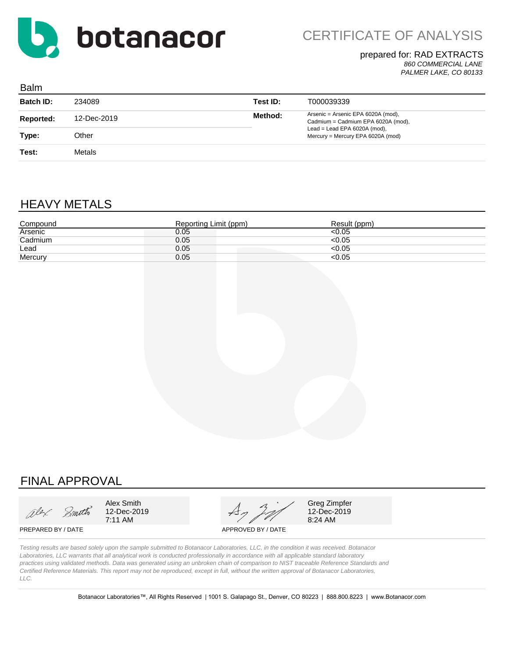

CERTIFICATE OF ANALYSIS

## prepared for: RAD EXTRACTS

*860 COMMERCIAL LANE PALMER LAKE, CO 80133*

| <b>Balm</b>      |             |          |                                                                          |
|------------------|-------------|----------|--------------------------------------------------------------------------|
| <b>Batch ID:</b> | 234089      | Test ID: | T000039339                                                               |
| <b>Reported:</b> | 12-Dec-2019 | Method:  | Arsenic = Arsenic EPA 6020A (mod),<br>Cadmium = Cadmium EPA 6020A (mod), |
| Type:            | Other       |          | Lead = Lead EPA $6020A$ (mod),<br>Mercury = Mercury EPA 6020A (mod)      |
| Test:            | Metals      |          |                                                                          |

# HEAVY METALS

| Compound | Reporting Limit (ppm) | Result (ppm) |
|----------|-----------------------|--------------|
| Arsenic  | 0.05                  | 50.05        |
| Cadmium  | 0.05                  | < 0.05       |
| Lead     | 0.05                  | <0.05        |
| Mercury  | 0.05                  | $<$ 0.05     |

# FINAL APPROVAL

alex Smoth

Alex Smith  $\overline{A}$  and  $\overline{A}$  and  $\overline{A}$  Greg Zimpfer 12-Dec-2019  $47/20$  12-Dec-2019 12-Dec-2019

8:24 AM

PREPARED BY / DATE APPROVED BY / DATE

*Testing results are based solely upon the sample submitted to Botanacor Laboratories, LLC, in the condition it was received. Botanacor Laboratories, LLC warrants that all analytical work is conducted professionally in accordance with all applicable standard laboratory practices using validated methods. Data was generated using an unbroken chain of comparison to NIST traceable Reference Standards and Certified Reference Materials. This report may not be reproduced, except in full, without the written approval of Botanacor Laboratories, LLC.*